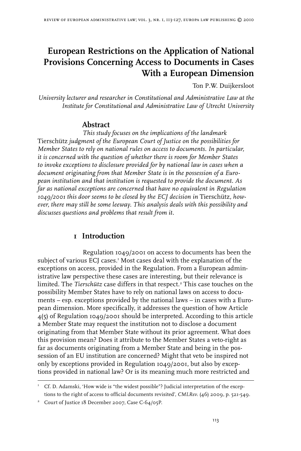# **European Restrictions on the Application of National Provisions Concerning Access to Documents in Cases With a European Dimension**

Ton P.W. Duijkersloot

*University lecturer and researcher in Constitutional and Administrative Law at the Institute for Constitutional and Administrative Law of Utrecht University*

# **Abstract**

*This study focuses on the implications of the landmark*  Tierschütz *judgment of the European Court of Justice on the possibilities for Member States to rely on national rules on access to documents. In particular, it is concerned with the question of whether there is room for Member States to invoke exceptions to disclosure provided for by national law in cases when a document originating from that Member State is in the possession of a European institution and that institution is requested to provide the document. As far as national exceptions are concerned that have no equivalent in Regulation 1049/2001 this door seems to be closed by the ECJ decision in* Tierschütz*, however, there may still be some leeway. This analysis deals with this possibility and discusses questions and problems that result from it.* 

# **1 Introduction**

Regulation 1049/2001 on access to documents has been the subject of various ECJ cases.<sup>1</sup> Most cases deal with the explanation of the exceptions on access, provided in the Regulation. From a European administrative law perspective these cases are interesting, but their relevance is limited. The *Tierschütz* case differs in that respect.<sup>2</sup> This case touches on the possibility Member States have to rely on national laws on access to documents – esp. exceptions provided by the national laws – in cases with a European dimension. More specifically, it addresses the question of how Article 4(5) of Regulation 1049/2001 should be interpreted. According to this article a Member State may request the institution not to disclose a document originating from that Member State without its prior agreement. What does this provision mean? Does it attribute to the Member States a veto-right as far as documents originating from a Member State and being in the possession of an EU institution are concerned? Might that veto be inspired not only by exceptions provided in Regulation 1049/2001, but also by exceptions provided in national law? Or is its meaning much more restricted and

<sup>&</sup>lt;sup>1</sup> Cf. D. Adamski, 'How wide is "the widest possible"? Judicial interpretation of the exceptions to the right of access to official documents revisited', *CMLRev.* (46) 2009, p. 521-549.

<sup>&</sup>lt;sup>2</sup> Court of Justice 18 December 2007, Case C-64/05P.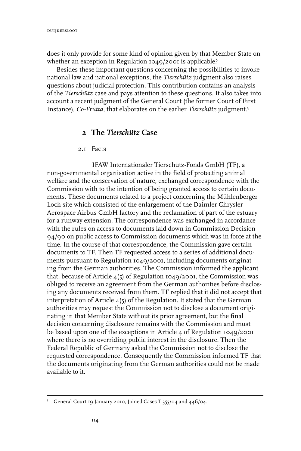does it only provide for some kind of opinion given by that Member State on whether an exception in Regulation 1049/2001 is applicable?

Besides these important questions concerning the possibilities to invoke national law and national exceptions, the *Tierschütz* judgment also raises questions about judicial protection. This contribution contains an analysis of the *Tierschütz* case and pays attention to these questions. It also takes into account a recent judgment of the General Court (the former Court of First Instance), *Co-Frutta*, that elaborates on the earlier *Tierschütz* judgment.

# **2 The** *Tierschütz* **Case**

#### 2.1 Facts

IFAW Internationaler Tierschütz-Fonds GmbH (TF), a non-governmental organisation active in the field of protecting animal welfare and the conservation of nature, exchanged correspondence with the Commission with to the intention of being granted access to certain documents. These documents related to a project concerning the Mühlenberger Loch site which consisted of the enlargement of the Daimler Chrysler Aerospace Airbus GmbH factory and the reclamation of part of the estuary for a runway extension. The correspondence was exchanged in accordance with the rules on access to documents laid down in Commission Decision 94/90 on public access to Commission documents which was in force at the time. In the course of that correspondence, the Commission gave certain documents to TF. Then TF requested access to a series of additional documents pursuant to Regulation 1049/2001, including documents originating from the German authorities. The Commission informed the applicant that, because of Article  $4(5)$  of Regulation 1049/2001, the Commission was obliged to receive an agreement from the German authorities before disclosing any documents received from them. TF replied that it did not accept that interpretation of Article 4(5) of the Regulation. It stated that the German authorities may request the Commission not to disclose a document originating in that Member State without its prior agreement, but the final decision concerning disclosure remains with the Commission and must be based upon one of the exceptions in Article 4 of Regulation 1049/2001 where there is no overriding public interest in the disclosure. Then the Federal Republic of Germany asked the Commission not to disclose the requested correspondence. Consequently the Commission informed TF that the documents originating from the German authorities could not be made available to it.

<sup>&</sup>lt;sup>3</sup> General Court 19 January 2010, Joined Cases T-355/04 and 446/04.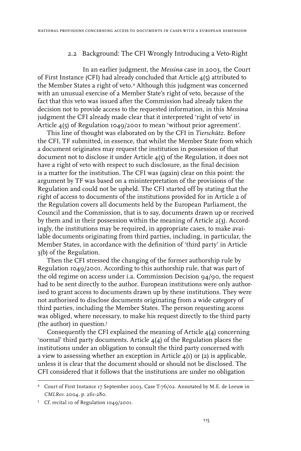#### 2.2 Background: The CFI Wrongly Introducing a Veto-Right

In an earlier judgment, the *Messina* case in 2003, the Court of First Instance (CFI) had already concluded that Article 4(5) attributed to the Member States a right of veto.<sup>4</sup> Although this judgment was concerned with an unusual exercise of a Member State's right of veto, because of the fact that this veto was issued after the Commission had already taken the decision not to provide access to the requested information, in this *Messina* judgment the CFI already made clear that it interpreted 'right of veto' in Article 4(5) of Regulation 1049/2001 to mean 'without prior agreement'.

This line of thought was elaborated on by the CFI in *Tierschütz*. Before the CFI, TF submitted, in essence, that whilst the Member State from which a document originates may request the institution in possession of that document not to disclose it under Article 4(5) of the Regulation, it does not have a right of veto with respect to such disclosure, as the final decision is a matter for the institution. The CFI was (again) clear on this point: the argument by TF was based on a misinterpretation of the provisions of the Regulation and could not be upheld. The CFI started off by stating that the right of access to documents of the institutions provided for in Article 2 of the Regulation covers all documents held by the European Parliament, the Council and the Commission, that is to say, documents drawn up or received by them and in their possession within the meaning of Article 2(3). Accordingly, the institutions may be required, in appropriate cases, to make available documents originating from third parties, including, in particular, the Member States, in accordance with the definition of 'third party' in Article 3(b) of the Regulation.

Then the CFI stressed the changing of the former authorship rule by Regulation 1049/2001. According to this authorship rule, that was part of the old regime on access under i.a. Commission Decision 94/90, the request had to be sent directly to the author. European institutions were only authorised to grant access to documents drawn up by these institutions. They were not authorised to disclose documents originating from a wide category of third parties, including the Member States. The person requesting access was obliged, where necessary, to make his request directly to the third party (the author) in question.

Consequently the CFI explained the meaning of Article 4(4) concerning 'normal' third party documents. Article 4(4) of the Regulation places the institutions under an obligation to consult the third party concerned with a view to assessing whether an exception in Article  $\mu(I)$  or (2) is applicable, unless it is clear that the document should or should not be disclosed. The CFI considered that it follows that the institutions are under no obligation

Court of First Instance 17 September 2003, Case T-76/02. Annotated by M.E. de Leeuw in *CMLRev.* 2004, p. 261-280.

Cf. recital 10 of Regulation 1049/2001.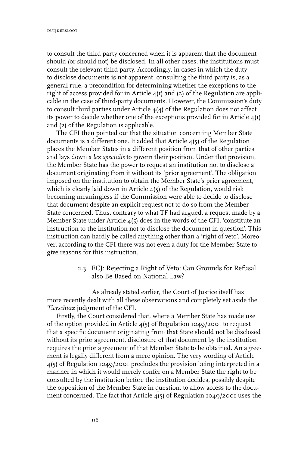to consult the third party concerned when it is apparent that the document should (or should not) be disclosed. In all other cases, the institutions must consult the relevant third party. Accordingly, in cases in which the duty to disclose documents is not apparent, consulting the third party is, as a general rule, a precondition for determining whether the exceptions to the right of access provided for in Article 4(1) and (2) of the Regulation are applicable in the case of third-party documents. However, the Commission's duty to consult third parties under Article 4(4) of the Regulation does not affect its power to decide whether one of the exceptions provided for in Article  $4(I)$ and (2) of the Regulation is applicable.

The CFI then pointed out that the situation concerning Member State documents is a different one. It added that Article  $\mu(s)$  of the Regulation places the Member States in a different position from that of other parties and lays down a *lex specialis* to govern their position. Under that provision, the Member State has the power to request an institution not to disclose a document originating from it without its 'prior agreement'. The obligation imposed on the institution to obtain the Member State's prior agreement, which is clearly laid down in Article  $\mathbf{A}(5)$  of the Regulation, would risk becoming meaningless if the Commission were able to decide to disclose that document despite an explicit request not to do so from the Member State concerned. Thus, contrary to what TF had argued, a request made by a Member State under Article 4(5) does in the words of the CFI, 'constitute an instruction to the institution not to disclose the document in question'. This instruction can hardly be called anything other than a 'right of veto'. Moreover, according to the CFI there was not even a duty for the Member State to give reasons for this instruction.

### 2.3 ECJ: Rejecting a Right of Veto; Can Grounds for Refusal also Be Based on National Law?

As already stated earlier, the Court of Justice itself has more recently dealt with all these observations and completely set aside the *Tierschütz* judgment of the CFI.

Firstly, the Court considered that, where a Member State has made use of the option provided in Article 4(5) of Regulation 1049/2001 to request that a specific document originating from that State should not be disclosed without its prior agreement, disclosure of that document by the institution requires the prior agreement of that Member State to be obtained. An agreement is legally different from a mere opinion. The very wording of Article 4(5) of Regulation 1049/2001 precludes the provision being interpreted in a manner in which it would merely confer on a Member State the right to be consulted by the institution before the institution decides, possibly despite the opposition of the Member State in question, to allow access to the document concerned. The fact that Article 4(5) of Regulation 1049/2001 uses the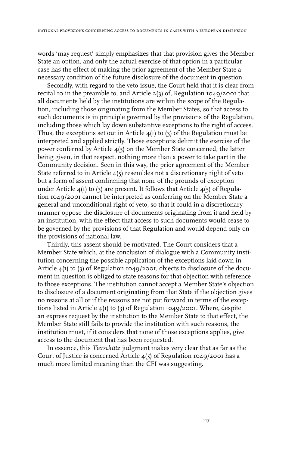words 'may request' simply emphasizes that that provision gives the Member State an option, and only the actual exercise of that option in a particular case has the effect of making the prior agreement of the Member State a necessary condition of the future disclosure of the document in question.

Secondly, with regard to the veto-issue, the Court held that it is clear from recital 10 in the preamble to, and Article  $2(3)$  of, Regulation 1049/2001 that all documents held by the institutions are within the scope of the Regulation, including those originating from the Member States, so that access to such documents is in principle governed by the provisions of the Regulation, including those which lay down substantive exceptions to the right of access. Thus, the exceptions set out in Article  $\mathbf{A}(\mathbf{I})$  to (3) of the Regulation must be interpreted and applied strictly. Those exceptions delimit the exercise of the power conferred by Article 4(5) on the Member State concerned, the latter being given, in that respect, nothing more than a power to take part in the Community decision. Seen in this way, the prior agreement of the Member State referred to in Article 4(5) resembles not a discretionary right of veto but a form of assent confirming that none of the grounds of exception under Article  $\mathbf{A}(1)$  to (3) are present. It follows that Article  $\mathbf{A}(5)$  of Regulation 1049/2001 cannot be interpreted as conferring on the Member State a general and unconditional right of veto, so that it could in a discretionary manner oppose the disclosure of documents originating from it and held by an institution, with the effect that access to such documents would cease to be governed by the provisions of that Regulation and would depend only on the provisions of national law.

Thirdly, this assent should be motivated. The Court considers that a Member State which, at the conclusion of dialogue with a Community institution concerning the possible application of the exceptions laid down in Article 4(1) to (3) of Regulation 1049/2001, objects to disclosure of the document in question is obliged to state reasons for that objection with reference to those exceptions. The institution cannot accept a Member State's objection to disclosure of a document originating from that State if the objection gives no reasons at all or if the reasons are not put forward in terms of the exceptions listed in Article  $4(1)$  to (3) of Regulation 1049/2001. Where, despite an express request by the institution to the Member State to that effect, the Member State still fails to provide the institution with such reasons, the institution must, if it considers that none of those exceptions applies, give access to the document that has been requested.

In essence, this *Tierschütz* judgment makes very clear that as far as the Court of Justice is concerned Article 4(5) of Regulation 1049/2001 has a much more limited meaning than the CFI was suggesting.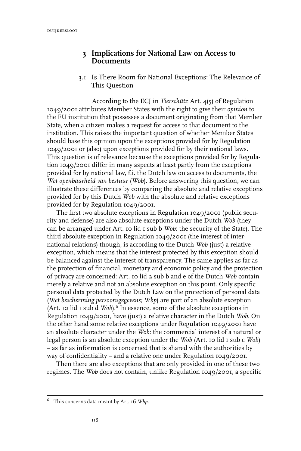duijkersloot

## **3 Implications for National Law on Access to Documents**

 3.1 Is There Room for National Exceptions: The Relevance of This Question

According to the ECJ in *Tierschütz* Art. 4(5) of Regulation 1049/2001 attributes Member States with the right to give their *opinion* to the EU institution that possesses a document originating from that Member State, when a citizen makes a request for access to that document to the institution. This raises the important question of whether Member States should base this opinion upon the exceptions provided for by Regulation 1049/2001 or (also) upon exceptions provided for by their national laws. This question is of relevance because the exceptions provided for by Regulation 1049/2001 differ in many aspects at least partly from the exceptions provided for by national law, f.i. the Dutch law on access to documents, the *Wet openbaarheid van bestuur* (*Wob*). Before answering this question, we can illustrate these differences by comparing the absolute and relative exceptions provided for by this Dutch *Wob* with the absolute and relative exceptions provided for by Regulation 1049/2001.

The first two absolute exceptions in Regulation 1049/2001 (public security and defense) are also absolute exceptions under the Dutch *Wob* (they can be arranged under Art. 10 lid 1 sub b *Wob*: the security of the State). The third absolute exception in Regulation 1049/2001 (the interest of international relations) though, is according to the Dutch *Wob* (just) a relative exception, which means that the interest protected by this exception should be balanced against the interest of transparency. The same applies as far as the protection of financial, monetary and economic policy and the protection of privacy are concerned: Art. 10 lid 2 sub b and e of the Dutch *Wob* contain merely a relative and not an absolute exception on this point. Only specific personal data protected by the Dutch Law on the protection of personal data (*Wet bescherming persoonsgegevens; Wbp*) are part of an absolute exception (Art. 10 lid 1 sub d *Wob*).<sup>6</sup> In essence, some of the absolute exceptions in Regulation 1049/2001, have (just) a relative character in the Dutch *Wob*. On the other hand some relative exceptions under Regulation 1049/2001 have an absolute character under the *Wob*: the commercial interest of a natural or legal person is an absolute exception under the *Wob* (Art. 10 lid 1 sub c *Wob*) – as far as information is concerned that is shared with the authorities by way of confidentiality – and a relative one under Regulation 1049/2001.

Then there are also exceptions that are only provided in one of these two regimes. The *Wob* does not contain, unlike Regulation 1049/2001, a specific

This concerns data meant by Art. 16 *Wbp*.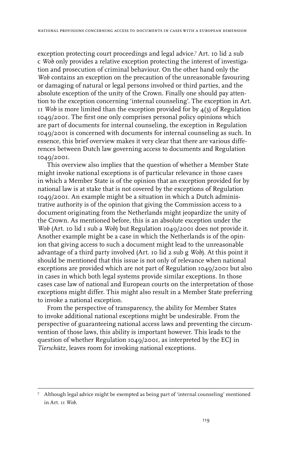exception protecting court proceedings and legal advice.<sup>7</sup> Art. 10 lid 2 sub c *Wob* only provides a relative exception protecting the interest of investigation and prosecution of criminal behaviour. On the other hand only the *Wob* contains an exception on the precaution of the unreasonable favouring or damaging of natural or legal persons involved or third parties, and the absolute exception of the unity of the Crown. Finally one should pay attention to the exception concerning 'internal counseling'. The exception in Art. 11 *Wob* is more limited than the exception provided for by  $\mathcal{A}(3)$  of Regulation 1049/2001. The first one only comprises personal policy opinions which are part of documents for internal counseling, the exception in Regulation 1049/2001 is concerned with documents for internal counseling as such. In essence, this brief overview makes it very clear that there are various differences between Dutch law governing access to documents and Regulation 1049/2001.

This overview also implies that the question of whether a Member State might invoke national exceptions is of particular relevance in those cases in which a Member State is of the opinion that an exception provided for by national law is at stake that is not covered by the exceptions of Regulation 1049/2001. An example might be a situation in which a Dutch administrative authority is of the opinion that giving the Commission access to a document originating from the Netherlands might jeopardize the unity of the Crown. As mentioned before, this is an absolute exception under the *Wob* (Art. 10 lid 1 sub a *Wob*) but Regulation 1049/2001 does not provide it. Another example might be a case in which the Netherlands is of the opinion that giving access to such a document might lead to the unreasonable advantage of a third party involved (Art. 10 lid 2 sub g *Wob*). At this point it should be mentioned that this issue is not only of relevance when national exceptions are provided which are not part of Regulation 1049/2001 but also in cases in which both legal systems provide similar exceptions. In those cases case law of national and European courts on the interpretation of those exceptions might differ. This might also result in a Member State preferring to invoke a national exception.

From the perspective of transparency, the ability for Member States to invoke additional national exceptions might be undesirable. From the perspective of guaranteeing national access laws and preventing the circumvention of those laws, this ability is important however. This leads to the question of whether Regulation 1049/2001, as interpreted by the ECJ in *Tierschütz*, leaves room for invoking national exceptions.

Although legal advice might be exempted as being part of 'internal counseling' mentioned in Art. 11 *Wob*.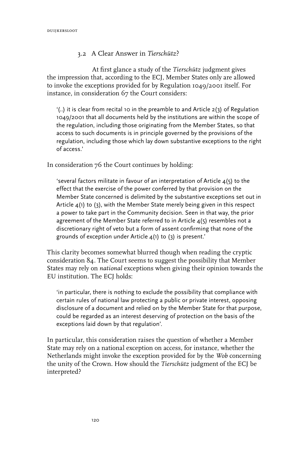### 3.2 A Clear Answer in *Tierschütz*?

At first glance a study of the *Tierschütz* judgment gives the impression that, according to the ECJ, Member States only are allowed to invoke the exceptions provided for by Regulation 1049/2001 itself. For instance, in consideration 67 the Court considers:

 $(1.1)$  it is clear from recital 10 in the preamble to and Article 2(3) of Regulation 1049/2001 that all documents held by the institutions are within the scope of the regulation, including those originating from the Member States, so that access to such documents is in principle governed by the provisions of the regulation, including those which lay down substantive exceptions to the right of access.'

In consideration 76 the Court continues by holding:

'several factors militate in favour of an interpretation of Article  $4(5)$  to the effect that the exercise of the power conferred by that provision on the Member State concerned is delimited by the substantive exceptions set out in Article 4(1) to (3), with the Member State merely being given in this respect a power to take part in the Community decision. Seen in that way, the prior agreement of the Member State referred to in Article  $4(5)$  resembles not a discretionary right of veto but a form of assent confirming that none of the grounds of exception under Article 4(1) to (3) is present.'

This clarity becomes somewhat blurred though when reading the cryptic consideration 84. The Court seems to suggest the possibility that Member States may rely on *national* exceptions when giving their opinion towards the EU institution. The ECJ holds:

'in particular, there is nothing to exclude the possibility that compliance with certain rules of national law protecting a public or private interest, opposing disclosure of a document and relied on by the Member State for that purpose, could be regarded as an interest deserving of protection on the basis of the exceptions laid down by that regulation'.

In particular, this consideration raises the question of whether a Member State may rely on a national exception on access, for instance, whether the Netherlands might invoke the exception provided for by the *Wob* concerning the unity of the Crown. How should the *Tierschütz* judgment of the ECJ be interpreted?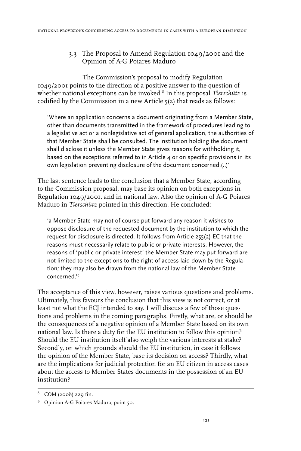## 3.3 The Proposal to Amend Regulation 1049/2001 and the Opinion of A-G Poiares Maduro

The Commission's proposal to modify Regulation 1049/2001 points to the direction of a positive answer to the question of whether national exceptions can be invoked.<sup>8</sup> In this proposal *Tierschütz* is codified by the Commission in a new Article 5(2) that reads as follows:

'Where an application concerns a document originating from a Member State, other than documents transmitted in the framework of procedures leading to a legislative act or a nonlegislative act of general application, the authorities of that Member State shall be consulted. The institution holding the document shall disclose it unless the Member State gives reasons for withholding it, based on the exceptions referred to in Article 4 or on specific provisions in its own legislation preventing disclosure of the document concerned.(..)'

The last sentence leads to the conclusion that a Member State, according to the Commission proposal, may base its opinion on both exceptions in Regulation 1049/2001, and in national law. Also the opinion of A-G Poiares Maduro in *Tierschütz* pointed in this direction. He concluded:

'a Member State may not of course put forward any reason it wishes to oppose disclosure of the requested document by the institution to which the request for disclosure is directed. It follows from Article 255(2) EC that the reasons must necessarily relate to public or private interests. However, the reasons of 'public or private interest' the Member State may put forward are not limited to the exceptions to the right of access laid down by the Regulation*;* they may also be drawn from the national law of the Member State concerned.'9

The acceptance of this view, however, raises various questions and problems. Ultimately, this favours the conclusion that this view is not correct, or at least not what the ECJ intended to say. I will discuss a few of those questions and problems in the coming paragraphs. Firstly, what are, or should be the consequences of a negative opinion of a Member State based on its own national law. Is there a duty for the EU institution to follow this opinion? Should the EU institution itself also weigh the various interests at stake? Secondly, on which grounds should the EU institution, in case it follows the opinion of the Member State, base its decision on access? Thirdly, what are the implications for judicial protection for an EU citizen in access cases about the access to Member States documents in the possession of an EU institution?

COM (2008) 229 fin.

<sup>&</sup>lt;sup>9</sup> Opinion A-G Poiares Maduro, point 50.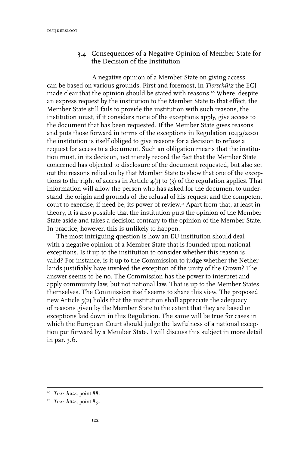3.4 Consequences of a Negative Opinion of Member State for the Decision of the Institution

A negative opinion of a Member State on giving access can be based on various grounds. First and foremost, in *Tierschütz* the ECJ made clear that the opinion should be stated with reasons.<sup>10</sup> Where, despite an express request by the institution to the Member State to that effect, the Member State still fails to provide the institution with such reasons, the institution must, if it considers none of the exceptions apply, give access to the document that has been requested. If the Member State gives reasons and puts those forward in terms of the exceptions in Regulation 1049/2001 the institution is itself obliged to give reasons for a decision to refuse a request for access to a document. Such an obligation means that the institution must, in its decision, not merely record the fact that the Member State concerned has objected to disclosure of the document requested, but also set out the reasons relied on by that Member State to show that one of the exceptions to the right of access in Article  $4(I)$  to  $(3)$  of the regulation applies. That information will allow the person who has asked for the document to understand the origin and grounds of the refusal of his request and the competent court to exercise, if need be, its power of review.11 Apart from that, at least in theory, it is also possible that the institution puts the opinion of the Member State aside and takes a decision contrary to the opinion of the Member State. In practice, however, this is unlikely to happen.

The most intriguing question is how an EU institution should deal with a negative opinion of a Member State that is founded upon national exceptions. Is it up to the institution to consider whether this reason is valid? For instance, is it up to the Commission to judge whether the Netherlands justifiably have invoked the exception of the unity of the Crown? The answer seems to be no. The Commission has the power to interpret and apply community law, but not national law. That is up to the Member States themselves. The Commission itself seems to share this view. The proposed new Article 5(2) holds that the institution shall appreciate the adequacy of reasons given by the Member State to the extent that they are based on exceptions laid down in this Regulation. The same will be true for cases in which the European Court should judge the lawfulness of a national exception put forward by a Member State. I will discuss this subject in more detail in par. 3.6.

<sup>10</sup> *Tierschütz*, point 88.

<sup>11</sup> *Tierschütz*, point 89.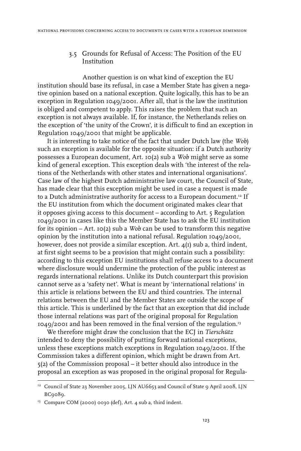#### 3.5 Grounds for Refusal of Access: The Position of the EU Institution

Another question is on what kind of exception the EU institution should base its refusal, in case a Member State has given a negative opinion based on a national exception. Quite logically, this has to be an exception in Regulation 1049/2001. After all, that is the law the institution is obliged and competent to apply. This raises the problem that such an exception is not always available. If, for instance, the Netherlands relies on the exception of 'the unity of the Crown', it is difficult to find an exception in Regulation 1049/2001 that might be applicable.

It is interesting to take notice of the fact that under Dutch law (the *Wob*) such an exception is available for the opposite situation: if a Dutch authority possesses a European document, Art. 10(2) sub a *Wob* might serve as some kind of general exception. This exception deals with 'the interest of the relations of the Netherlands with other states and international organisations'. Case law of the highest Dutch administrative law court, the Council of State, has made clear that this exception might be used in case a request is made to a Dutch administrative authority for access to a European document.<sup>12</sup> If the EU institution from which the document originated makes clear that it opposes giving access to this document – according to Art. 5 Regulation 1049/2001 in cases like this the Member State has to ask the EU institution for its opinion – Art. 10(2) sub a *Wob* can be used to transform this negative opinion by the institution into a national refusal. Regulation 1049/2001, however, does not provide a similar exception. Art.  $4(I)$  sub a, third indent, at first sight seems to be a provision that might contain such a possibility: according to this exception EU institutions shall refuse access to a document where disclosure would undermine the protection of the public interest as regards international relations. Unlike its Dutch counterpart this provision cannot serve as a 'safety net'. What is meant by 'international relations' in this article is relations between the EU and third countries. The internal relations between the EU and the Member States are outside the scope of this article. This is underlined by the fact that an exception that did include those internal relations was part of the original proposal for Regulation 1049/2001 and has been removed in the final version of the regulation.13

We therefore might draw the conclusion that the ECJ in *Tierschütz* intended to deny the possibility of putting forward national exceptions, unless these exceptions match exceptions in Regulation 1049/2001. If the Commission takes a different opinion, which might be drawn from Art. 5(2) of the Commission proposal – it better should also introduce in the proposal an exception as was proposed in the original proposal for Regula-

 $12$  Council of State 23 November 2005, LJN AU6653 and Council of State 9 April 2008, LJN BC9089.

<sup>&</sup>lt;sup>13</sup> Compare COM (2000) 0030 (def), Art. 4 sub a, third indent.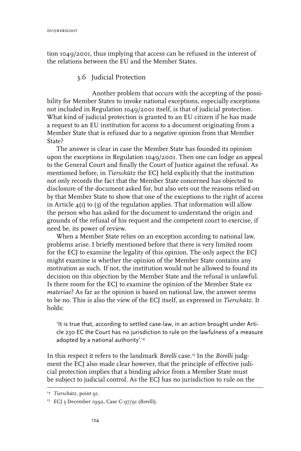tion 1049/2001, thus implying that access can be refused in the interest of the relations between the EU and the Member States.

#### 3.6 Judicial Protection

Another problem that occurs with the accepting of the possibility for Member States to invoke national exceptions, especially exceptions not included in Regulation 1049/2001 itself, is that of judicial protection. What kind of judicial protection is granted to an EU citizen if he has made a request to an EU institution for access to a document originating from a Member State that is refused due to a negative opinion from that Member State?

The answer is clear in case the Member State has founded its opinion upon the exceptions in Regulation 1049/2001. Then one can lodge an appeal to the General Court and finally the Court of Justice against the refusal. As mentioned before, in *Tierschütz* the ECJ held explicitly that the institution not only records the fact that the Member State concerned has objected to disclosure of the document asked for, but also sets out the reasons relied on by that Member State to show that one of the exceptions to the right of access in Article  $4(1)$  to  $(3)$  of the regulation applies. That information will allow the person who has asked for the document to understand the origin and grounds of the refusal of his request and the competent court to exercise, if need be, its power of review.

When a Member State relies on an exception according to national law, problems arise. I briefly mentioned before that there is very limited room for the ECJ to examine the legality of this opinion. The only aspect the ECJ might examine is whether the opinion of the Member State contains any motivation as such. If not, the institution would not be allowed to found its decision on this objection by the Member State and the refusal is unlawful. Is there room for the ECJ to examine the opinion of the Member State e*x materiae*? As far as the opinion is based on national law, the answer seems to be no. This is also the view of the ECJ itself, as expressed in *Tierschütz*. It holds:

'It is true that, according to settled case-law, in an action brought under Article 230 EC the Court has no jurisdiction to rule on the lawfulness of a measure adopted by a national authority'.14

In this respect it refers to the landmark *Borelli* case.15 In the *Borelli* judgment the ECJ also made clear however, that the principle of effective judicial protection implies that a binding advice from a Member State must be subject to judicial control. As the ECJ has no jurisdiction to rule on the

<sup>&</sup>lt;sup>14</sup> Tierschütz, point 91.

<sup>15</sup> ECJ 3 December 1992, Case C-97/91 (*Borelli*).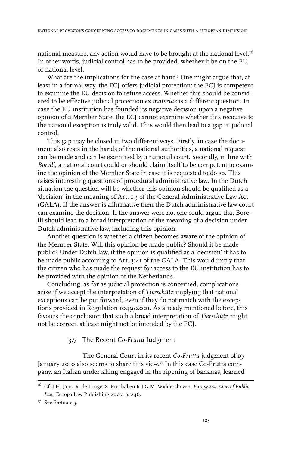national measure, any action would have to be brought at the national level.<sup>16</sup> In other words, judicial control has to be provided, whether it be on the EU or national level.

What are the implications for the case at hand? One might argue that, at least in a formal way, the ECJ offers judicial protection: the ECJ is competent to examine the EU decision to refuse access. Whether this should be considered to be effective judicial protection *ex materiae* is a different question. In case the EU institution has founded its negative decision upon a negative opinion of a Member State, the ECJ cannot examine whether this recourse to the national exception is truly valid. This would then lead to a gap in judicial control.

This gap may be closed in two different ways. Firstly, in case the document also rests in the hands of the national authorities, a national request can be made and can be examined by a national court. Secondly, in line with *Borelli*, a national court could or should claim itself to be competent to examine the opinion of the Member State in case it is requested to do so. This raises interesting questions of procedural administrative law. In the Dutch situation the question will be whether this opinion should be qualified as a 'decision' in the meaning of Art. 1:3 of the General Administrative Law Act (GALA). If the answer is affirmative then the Dutch administrative law court can examine the decision. If the answer were no, one could argue that Borelli should lead to a broad interpretation of the meaning of a decision under Dutch administrative law, including this opinion.

Another question is whether a citizen becomes aware of the opinion of the Member State. Will this opinion be made public? Should it be made public? Under Dutch law, if the opinion is qualified as a 'decision' it has to be made public according to Art. 3:41 of the GALA. This would imply that the citizen who has made the request for access to the EU institution has to be provided with the opinion of the Netherlands.

Concluding, as far as judicial protection is concerned, complications arise if we accept the interpretation of *Tierschütz* implying that national exceptions can be put forward, even if they do not match with the exceptions provided in Regulation 1049/2001. As already mentioned before, this favours the conclusion that such a broad interpretation of *Tierschütz* might not be correct, at least might not be intended by the ECJ.

#### 3.7 The Recent *Co-Frutta* Judgment

The General Court in its recent *Co-Frutta* judgment of 19 January 2010 also seems to share this view.17 In this case Co-Frutta company, an Italian undertaking engaged in the ripening of bananas, learned

<sup>16</sup> Cf. J.H. Jans, R. de Lange, S. Prechal en R.J.G.M. Widdershoven, *Europeanisation of Public Law*, Europa Law Publishing 2007, p. 246.

<sup>&</sup>lt;sup>17</sup> See footnote 3.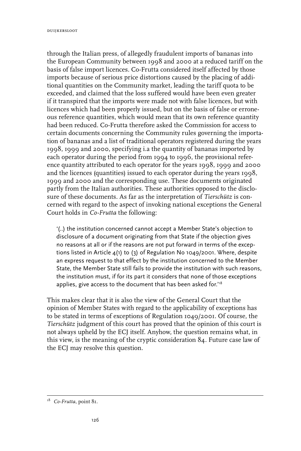through the Italian press, of allegedly fraudulent imports of bananas into the European Community between 1998 and 2000 at a reduced tariff on the basis of false import licences. Co-Frutta considered itself affected by those imports because of serious price distortions caused by the placing of additional quantities on the Community market, leading the tariff quota to be exceeded, and claimed that the loss suffered would have been even greater if it transpired that the imports were made not with false licences, but with licences which had been properly issued, but on the basis of false or erroneous reference quantities, which would mean that its own reference quantity had been reduced. Co-Frutta therefore asked the Commission for access to certain documents concerning the Community rules governing the importation of bananas and a list of traditional operators registered during the years 1998, 1999 and 2000, specifying i.a the quantity of bananas imported by each operator during the period from 1994 to 1996, the provisional reference quantity attributed to each operator for the years 1998, 1999 and 2000 and the licences (quantities) issued to each operator during the years 1998, 1999 and 2000 and the corresponding use. These documents originated partly from the Italian authorities. These authorities opposed to the disclosure of these documents. As far as the interpretation of *Tierschütz* is concerned with regard to the aspect of invoking national exceptions the General Court holds in *Co-Frutta* the following:

'(..) the institution concerned cannot accept a Member State's objection to disclosure of a document originating from that State if the objection gives no reasons at all or if the reasons are not put forward in terms of the exceptions listed in Article 4(1) to (3) of Regulation No 1049/2001. Where, despite an express request to that effect by the institution concerned to the Member State, the Member State still fails to provide the institution with such reasons, the institution must, if for its part it considers that none of those exceptions applies, give access to the document that has been asked for."<sup>8</sup>

This makes clear that it is also the view of the General Court that the opinion of Member States with regard to the applicability of exceptions has to be stated in terms of exceptions of Regulation 1049/2001. Of course, the *Tierschütz* judgment of this court has proved that the opinion of this court is not always upheld by the ECJ itself. Anyhow, the question remains what, in this view, is the meaning of the cryptic consideration 84. Future case law of the ECJ may resolve this question.

<sup>&</sup>lt;sup>18</sup> *Co-Frutta*, point 81.